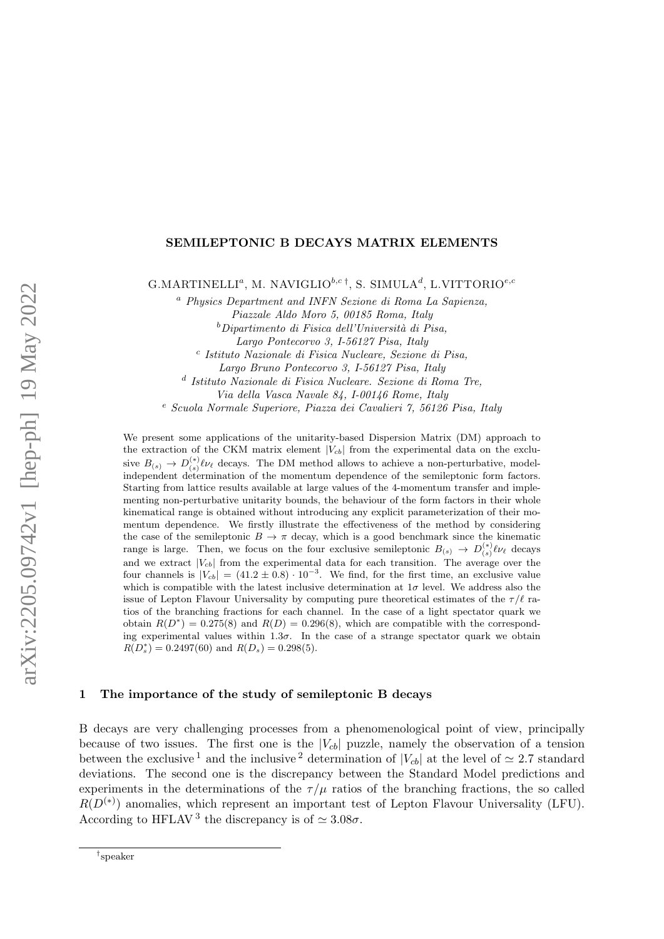## SEMILEPTONIC B DECAYS MATRIX ELEMENTS

G.MARTINELLI<sup>a</sup>, M. NAVIGLIO<sup>b,c†</sup>, S. SIMULA<sup>d</sup>, L.VITTORIO<sup>e,c</sup>

<sup>a</sup> Physics Department and INFN Sezione di Roma La Sapienza, Piazzale Aldo Moro 5, 00185 Roma, Italy

 $^{b}$ Dipartimento di Fisica dell'Università di Pisa,

Largo Pontecorvo 3, I-56127 Pisa, Italy

c Istituto Nazionale di Fisica Nucleare, Sezione di Pisa,

Largo Bruno Pontecorvo 3, I-56127 Pisa, Italy

d Istituto Nazionale di Fisica Nucleare. Sezione di Roma Tre,

Via della Vasca Navale 84, I-00146 Rome, Italy

<sup>e</sup> Scuola Normale Superiore, Piazza dei Cavalieri 7, 56126 Pisa, Italy

We present some applications of the unitarity-based Dispersion Matrix (DM) approach to the extraction of the CKM matrix element  $|V_{cb}|$  from the experimental data on the exclusive  $B_{(s)} \to D_{(s)}^{(*)} \ell \nu_{\ell}$  decays. The DM method allows to achieve a non-perturbative, modelindependent determination of the momentum dependence of the semileptonic form factors. Starting from lattice results available at large values of the 4-momentum transfer and implementing non-perturbative unitarity bounds, the behaviour of the form factors in their whole kinematical range is obtained without introducing any explicit parameterization of their momentum dependence. We firstly illustrate the effectiveness of the method by considering the case of the semileptonic  $B \to \pi$  decay, which is a good benchmark since the kinematic range is large. Then, we focus on the four exclusive semileptonic  $B_{(s)} \to D_{(s)}^{(*)} \ell \nu_{\ell}$  decays and we extract  $|V_{cb}|$  from the experimental data for each transition. The average over the four channels is  $|V_{cb}| = (41.2 \pm 0.8) \cdot 10^{-3}$ . We find, for the first time, an exclusive value which is compatible with the latest inclusive determination at  $1\sigma$  level. We address also the issue of Lepton Flavour Universality by computing pure theoretical estimates of the  $\tau/\ell$  ratios of the branching fractions for each channel. In the case of a light spectator quark we obtain  $R(D^*) = 0.275(8)$  and  $R(D) = 0.296(8)$ , which are compatible with the corresponding experimental values within  $1.3\sigma$ . In the case of a strange spectator quark we obtain  $R(D_s^*) = 0.2497(60)$  and  $R(D_s) = 0.298(5)$ .

## 1 The importance of the study of semileptonic B decays

B decays are very challenging processes from a phenomenological point of view, principally because of two issues. The first one is the  $|V_{cb}|$  puzzle, namely the observation of a tension between the exclusive <sup>[1](#page-3-0)</sup> and the inclusive <sup>[2](#page-3-1)</sup> determination of  $|V_{cb}|$  at the level of  $\simeq 2.7$  standard deviations. The second one is the discrepancy between the Standard Model predictions and experiments in the determinations of the  $\tau/\mu$  ratios of the branching fractions, the so called  $R(D<sup>(*)</sup>)$  anomalies, which represent an important test of Lepton Flavour Universality (LFU). According to HFLAV<sup>[3](#page-3-2)</sup> the discrepancy is of  $\simeq 3.08\sigma$ .

<sup>†</sup> speaker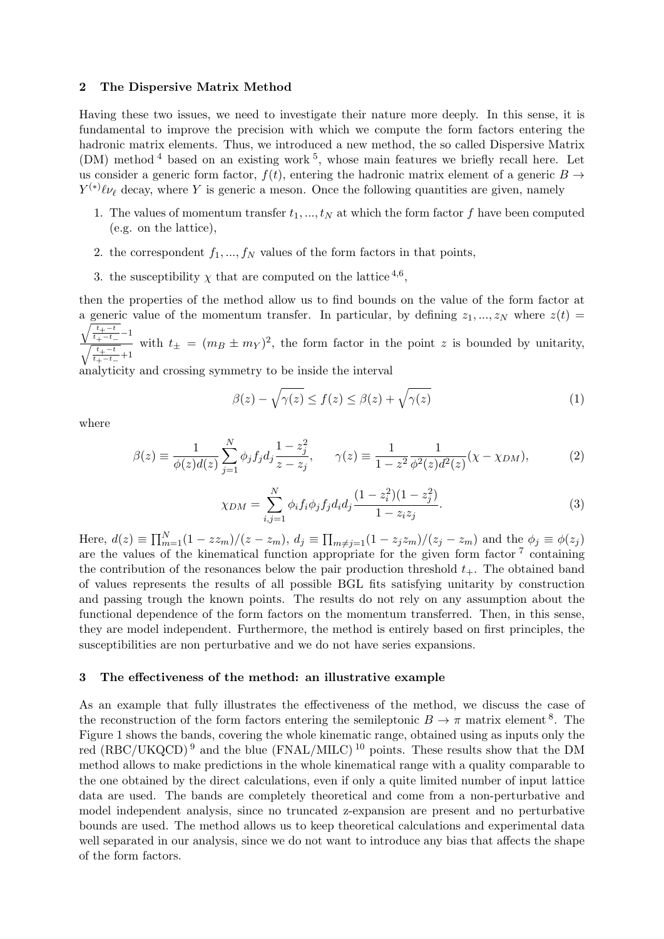## 2 The Dispersive Matrix Method

Having these two issues, we need to investigate their nature more deeply. In this sense, it is fundamental to improve the precision with which we compute the form factors entering the hadronic matrix elements. Thus, we introduced a new method, the so called Dispersive Matrix  $(DM)$  method <sup>[4](#page-3-3)</sup> based on an existing work <sup>[5](#page-3-4)</sup>, whose main features we briefly recall here. Let us consider a generic form factor,  $f(t)$ , entering the hadronic matrix element of a generic  $B \rightarrow$  $Y^{(*)}\ell\nu_{\ell}$  decay, where Y is generic a meson. Once the following quantities are given, namely

- 1. The values of momentum transfer  $t_1, ..., t_N$  at which the form factor f have been computed (e.g. on the lattice),
- 2. the correspondent  $f_1, ..., f_N$  values of the form factors in that points,
- 3. the susceptibility  $\chi$  that are computed on the lattice <sup>[4](#page-3-3),[6](#page-3-5)</sup>,

then the properties of the method allow us to find bounds on the value of the form factor at a generic value of the momentum transfer. In particular, by defining  $z_1, ..., z_N$  where  $z(t) =$  $\sqrt{t+1}$  $\frac{t_+ - t_-}{t_+ - t_-} - 1$  $\frac{\sqrt{t_+ - t_-}}{\sqrt{\frac{t_+ - t_-}{t_+ - t_-}} + 1}$  with  $t_{\pm} = (m_B \pm m_Y)^2$ , the form factor in the point z is bounded by unitarity,

analyticity and crossing symmetry to be inside the interval

$$
\beta(z) - \sqrt{\gamma(z)} \le f(z) \le \beta(z) + \sqrt{\gamma(z)}\tag{1}
$$

where

$$
\beta(z) \equiv \frac{1}{\phi(z)d(z)} \sum_{j=1}^{N} \phi_j f_j d_j \frac{1 - z_j^2}{z - z_j}, \qquad \gamma(z) \equiv \frac{1}{1 - z^2} \frac{1}{\phi^2(z)d^2(z)} (\chi - \chi_{DM}), \tag{2}
$$

<span id="page-1-0"></span>
$$
\chi_{DM} = \sum_{i,j=1}^{N} \phi_i f_i \phi_j f_j d_i d_j \frac{(1 - z_i^2)(1 - z_j^2)}{1 - z_i z_j}.
$$
\n(3)

Here,  $d(z) \equiv \prod_{m=1}^{N} (1 - zz_m)/(z - z_m)$ ,  $d_j \equiv \prod_{m \neq j=1} (1 - z_j z_m)/(z_j - z_m)$  and the  $\phi_j \equiv \phi(z_j)$ are the values of the kinematical function appropriate for the given form factor<sup>[7](#page-3-6)</sup> containing the contribution of the resonances below the pair production threshold  $t_{+}$ . The obtained band of values represents the results of all possible BGL fits satisfying unitarity by construction and passing trough the known points. The results do not rely on any assumption about the functional dependence of the form factors on the momentum transferred. Then, in this sense, they are model independent. Furthermore, the method is entirely based on first principles, the susceptibilities are non perturbative and we do not have series expansions.

#### 3 The effectiveness of the method: an illustrative example

As an example that fully illustrates the effectiveness of the method, we discuss the case of the reconstruction of the form factors entering the semileptonic  $B \to \pi$  matrix element <sup>[8](#page-3-7)</sup>. The Figure [1](#page-1-0) shows the bands, covering the whole kinematic range, obtained using as inputs only the red (RBC/UKQCD)<sup>[9](#page-3-8)</sup> and the blue (FNAL/MILC)<sup>[10](#page-3-9)</sup> points. These results show that the DM method allows to make predictions in the whole kinematical range with a quality comparable to the one obtained by the direct calculations, even if only a quite limited number of input lattice data are used. The bands are completely theoretical and come from a non-perturbative and model independent analysis, since no truncated z-expansion are present and no perturbative bounds are used. The method allows us to keep theoretical calculations and experimental data well separated in our analysis, since we do not want to introduce any bias that affects the shape of the form factors.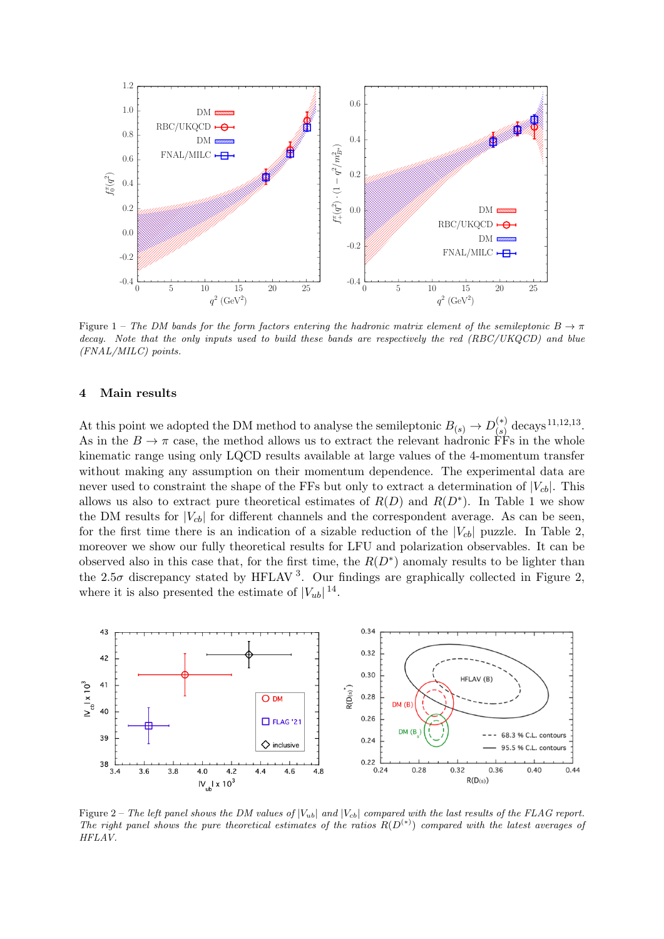

Figure 1 – The DM bands for the form factors entering the hadronic matrix element of the semileptonic  $B \to \pi$ decay. Note that the only inputs used to build these bands are respectively the red (RBC/UKQCD) and blue (FNAL/MILC) points.

## <span id="page-2-0"></span>4 Main results

At this point we adopted the DM method to analyse the semileptonic  $B_{(s)} \to D_{(s)}^{(*)}$  $\int_{(s)}^{(*)}$  decays  $^{11,12,13}$  $^{11,12,13}$  $^{11,12,13}$  $^{11,12,13}$  $^{11,12,13}$  $^{11,12,13}$  $^{11,12,13}$ . As in the  $B \to \pi$  case, the method allows us to extract the relevant hadronic FFs in the whole kinematic range using only LQCD results available at large values of the 4-momentum transfer without making any assumption on their momentum dependence. The experimental data are never used to constraint the shape of the FFs but only to extract a determination of  $|V_{cb}|$ . This allows us also to extract pure theoretical estimates of  $R(D)$  and  $R(D^*)$ . In Table [1](#page-2-0) we show the DM results for  $|V_{cb}|$  for different channels and the correspondent average. As can be seen, for the first time there is an indication of a sizable reduction of the  $|V_{cb}|$  puzzle. In Table [2,](#page-2-0) moreover we show our fully theoretical results for LFU and polarization observables. It can be observed also in this case that, for the first time, the  $R(D^*)$  anomaly results to be lighter than the 2.5 $\sigma$  discrepancy stated by HFLAV<sup>[3](#page-3-2)</sup>. Our findings are graphically collected in Figure [2,](#page-2-0) where it is also presented the estimate of  $|V_{ub}|^{14}$  $|V_{ub}|^{14}$  $|V_{ub}|^{14}$ .



Figure 2 – The left panel shows the DM values of  $|V_{ub}|$  and  $|V_{cb}|$  compared with the last results of the FLAG report. The right panel shows the pure theoretical estimates of the ratios  $R(D^{(*)})$  compared with the latest averages of HFLAV.